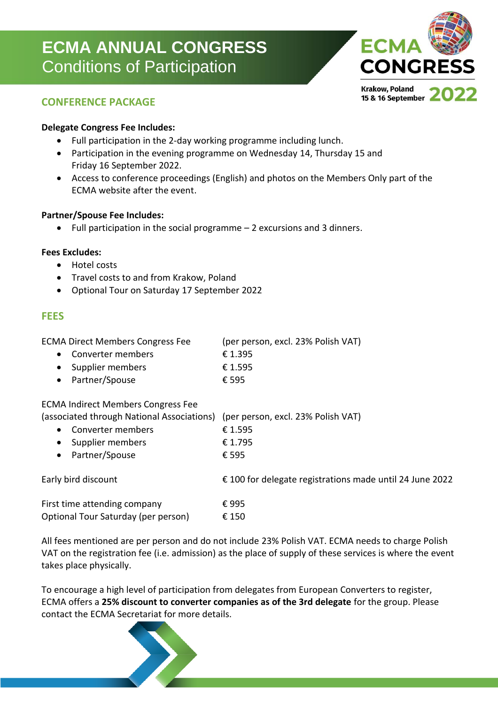# **ECMA ANNUAL CONGRESS** Conditions of Participation



# **CONFERENCE PACKAGE**

#### **Delegate Congress Fee Includes:**

- Full participation in the 2-day working programme including lunch.
- Participation in the evening programme on Wednesday 14, Thursday 15 and Friday 16 September 2022.
- Access to conference proceedings (English) and photos on the Members Only part of the ECMA website after the event.

#### **Partner/Spouse Fee Includes:**

• Full participation in the social programme – 2 excursions and 3 dinners.

#### **Fees Excludes:**

- Hotel costs
- Travel costs to and from Krakow, Poland
- Optional Tour on Saturday 17 September 2022

# **FEES**

| <b>ECMA Direct Members Congress Fee</b><br>Converter members<br>Supplier members<br>Partner/Spouse<br>$\bullet$                                                                                      | (per person, excl. 23% Polish VAT)<br>€ 1.395<br>€ 1.595<br>€ 595 |
|------------------------------------------------------------------------------------------------------------------------------------------------------------------------------------------------------|-------------------------------------------------------------------|
| <b>ECMA Indirect Members Congress Fee</b><br>(associated through National Associations) (per person, excl. 23% Polish VAT)<br>Converter members<br>• Supplier members<br>Partner/Spouse<br>$\bullet$ | € 1.595<br>€ 1.795<br>€ 595                                       |
| Early bird discount                                                                                                                                                                                  | €100 for delegate registrations made until 24 June 2022           |
| First time attending company<br>Optional Tour Saturday (per person)                                                                                                                                  | €995<br>€ 150                                                     |

All fees mentioned are per person and do not include 23% Polish VAT. ECMA needs to charge Polish VAT on the registration fee (i.e. admission) as the place of supply of these services is where the event takes place physically.

To encourage a high level of participation from delegates from European Converters to register, ECMA offers a **25% discount to converter companies as of the 3rd delegate** for the group. Please contact the ECMA Secretariat for more details.

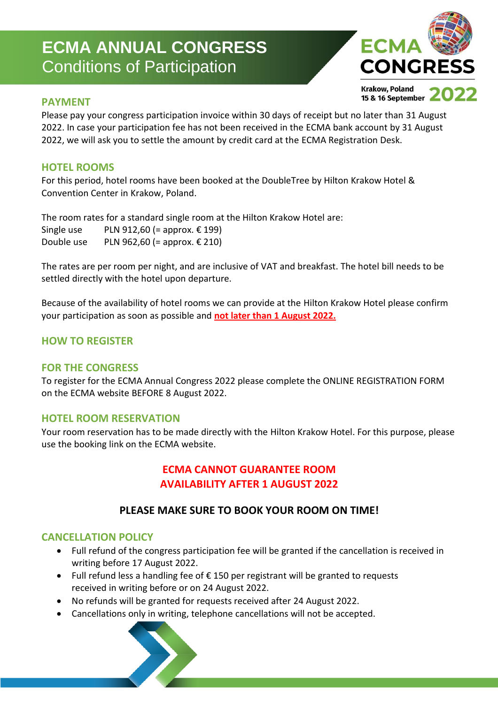# **ECMA ANNUAL CONGRESS** Conditions of Participation



# **PAYMENT**

Please pay your congress participation invoice within 30 days of receipt but no later than 31 August 2022. In case your participation fee has not been received in the ECMA bank account by 31 August 2022, we will ask you to settle the amount by credit card at the ECMA Registration Desk.

# **HOTEL ROOMS**

For this period, hotel rooms have been booked at the DoubleTree by Hilton Krakow Hotel & Convention Center in Krakow, Poland.

The room rates for a standard single room at the Hilton Krakow Hotel are: Single use PLN 912,60 (= approx.  $€ 199$ ) Double use PLN 962,60 (= approx.  $\epsilon$  210)

The rates are per room per night, and are inclusive of VAT and breakfast. The hotel bill needs to be settled directly with the hotel upon departure.

Because of the availability of hotel rooms we can provide at the Hilton Krakow Hotel please confirm your participation as soon as possible and **not later than 1 August 2022.**

# **HOW TO REGISTER**

#### **FOR THE CONGRESS**

To register for the ECMA Annual Congress 2022 please complete the ONLINE REGISTRATION FORM on the ECMA website BEFORE 8 August 2022.

#### **HOTEL ROOM RESERVATION**

Your room reservation has to be made directly with the Hilton Krakow Hotel. For this purpose, please use the booking link on the ECMA website.

# **ECMA CANNOT GUARANTEE ROOM AVAILABILITY AFTER 1 AUGUST 2022**

# **PLEASE MAKE SURE TO BOOK YOUR ROOM ON TIME!**

# **CANCELLATION POLICY**

- Full refund of the congress participation fee will be granted if the cancellation is received in writing before 17 August 2022.
- Full refund less a handling fee of € 150 per registrant will be granted to requests received in writing before or on 24 August 2022.
- No refunds will be granted for requests received after 24 August 2022.
- Cancellations only in writing, telephone cancellations will not be accepted.